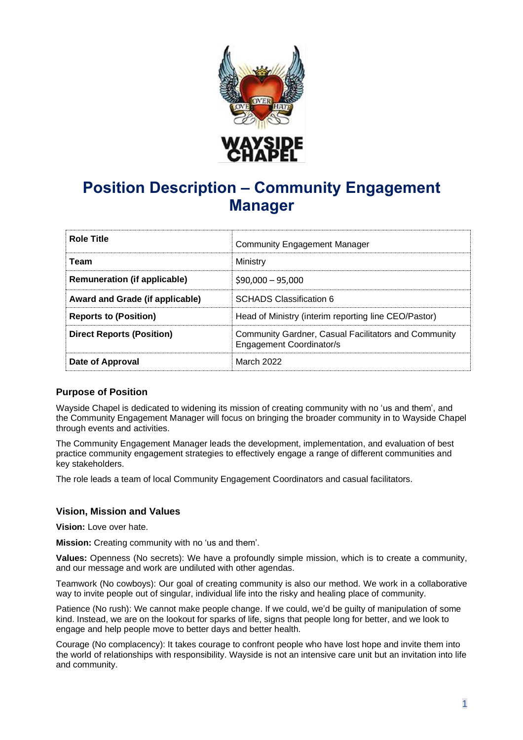

# **Position Description – Community Engagement Manager**

| <b>Role Title</b>                   | Community Engagement Manager                                                                   |
|-------------------------------------|------------------------------------------------------------------------------------------------|
| Team                                | Ministry                                                                                       |
| <b>Remuneration (if applicable)</b> | $$90,000 - 95,000$                                                                             |
| Award and Grade (if applicable)     | <b>SCHADS Classification 6</b>                                                                 |
| <b>Reports to (Position)</b>        | Head of Ministry (interim reporting line CEO/Pastor)                                           |
| <b>Direct Reports (Position)</b>    | <b>Community Gardner, Casual Facilitators and Community</b><br><b>Engagement Coordinator/s</b> |
| Date of Approval                    | March 2022                                                                                     |

# **Purpose of Position**

Wayside Chapel is dedicated to widening its mission of creating community with no 'us and them', and the Community Engagement Manager will focus on bringing the broader community in to Wayside Chapel through events and activities.

The Community Engagement Manager leads the development, implementation, and evaluation of best practice community engagement strategies to effectively engage a range of different communities and key stakeholders.

The role leads a team of local Community Engagement Coordinators and casual facilitators.

# **Vision, Mission and Values**

**Vision:** Love over hate.

**Mission:** Creating community with no 'us and them'.

**Values:** Openness (No secrets): We have a profoundly simple mission, which is to create a community, and our message and work are undiluted with other agendas.

Teamwork (No cowboys): Our goal of creating community is also our method. We work in a collaborative way to invite people out of singular, individual life into the risky and healing place of community.

Patience (No rush): We cannot make people change. If we could, we'd be guilty of manipulation of some kind. Instead, we are on the lookout for sparks of life, signs that people long for better, and we look to engage and help people move to better days and better health.

Courage (No complacency): It takes courage to confront people who have lost hope and invite them into the world of relationships with responsibility. Wayside is not an intensive care unit but an invitation into life and community.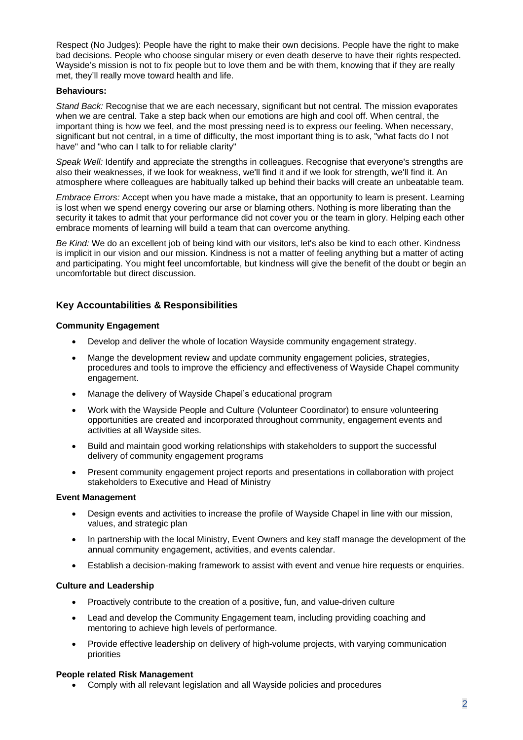Respect (No Judges): People have the right to make their own decisions. People have the right to make bad decisions. People who choose singular misery or even death deserve to have their rights respected. Wayside's mission is not to fix people but to love them and be with them, knowing that if they are really met, they'll really move toward health and life.

## **Behaviours:**

*Stand Back:* Recognise that we are each necessary, significant but not central. The mission evaporates when we are central. Take a step back when our emotions are high and cool off. When central, the important thing is how we feel, and the most pressing need is to express our feeling. When necessary, significant but not central, in a time of difficulty, the most important thing is to ask, "what facts do I not have" and "who can I talk to for reliable clarity"

*Speak Well:* Identify and appreciate the strengths in colleagues. Recognise that everyone's strengths are also their weaknesses, if we look for weakness, we'll find it and if we look for strength, we'll find it. An atmosphere where colleagues are habitually talked up behind their backs will create an unbeatable team.

*Embrace Errors:* Accept when you have made a mistake, that an opportunity to learn is present. Learning is lost when we spend energy covering our arse or blaming others. Nothing is more liberating than the security it takes to admit that your performance did not cover you or the team in glory. Helping each other embrace moments of learning will build a team that can overcome anything.

*Be Kind:* We do an excellent job of being kind with our visitors, let's also be kind to each other. Kindness is implicit in our vision and our mission. Kindness is not a matter of feeling anything but a matter of acting and participating. You might feel uncomfortable, but kindness will give the benefit of the doubt or begin an uncomfortable but direct discussion.

# **Key Accountabilities & Responsibilities**

## **Community Engagement**

- Develop and deliver the whole of location Wayside community engagement strategy.
- Mange the development review and update community engagement policies, strategies, procedures and tools to improve the efficiency and effectiveness of Wayside Chapel community engagement.
- Manage the delivery of Wayside Chapel's educational program
- Work with the Wayside People and Culture (Volunteer Coordinator) to ensure volunteering opportunities are created and incorporated throughout community, engagement events and activities at all Wayside sites.
- Build and maintain good working relationships with stakeholders to support the successful delivery of community engagement programs
- Present community engagement project reports and presentations in collaboration with project stakeholders to Executive and Head of Ministry

## **Event Management**

- Design events and activities to increase the profile of Wayside Chapel in line with our mission, values, and strategic plan
- In partnership with the local Ministry, Event Owners and key staff manage the development of the annual community engagement, activities, and events calendar.
- Establish a decision-making framework to assist with event and venue hire requests or enquiries.

## **Culture and Leadership**

- Proactively contribute to the creation of a positive, fun, and value-driven culture
- Lead and develop the Community Engagement team, including providing coaching and mentoring to achieve high levels of performance.
- Provide effective leadership on delivery of high-volume projects, with varying communication priorities

## **People related Risk Management**

• Comply with all relevant legislation and all Wayside policies and procedures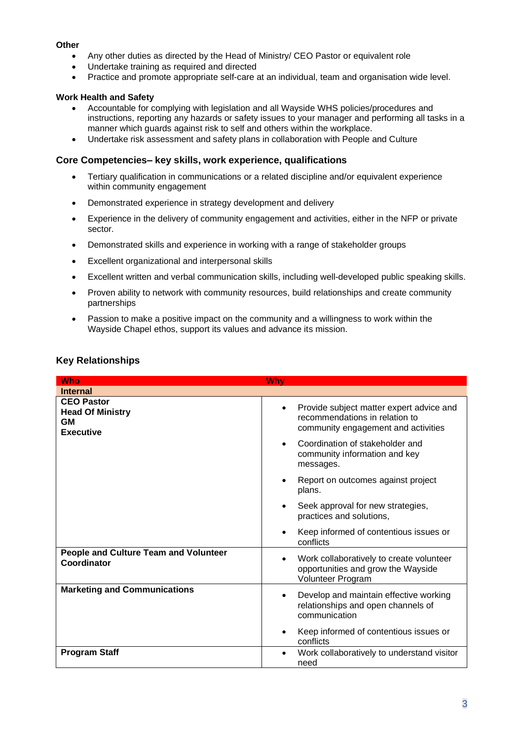## **Other**

- Any other duties as directed by the Head of Ministry/ CEO Pastor or equivalent role
- Undertake training as required and directed
- Practice and promote appropriate self-care at an individual, team and organisation wide level.

# **Work Health and Safety**

- Accountable for complying with legislation and all Wayside WHS policies/procedures and instructions, reporting any hazards or safety issues to your manager and performing all tasks in a manner which guards against risk to self and others within the workplace.
- Undertake risk assessment and safety plans in collaboration with People and Culture

## **Core Competencies– key skills, work experience, qualifications**

- Tertiary qualification in communications or a related discipline and/or equivalent experience within community engagement
- Demonstrated experience in strategy development and delivery
- Experience in the delivery of community engagement and activities, either in the NFP or private sector.
- Demonstrated skills and experience in working with a range of stakeholder groups
- Excellent organizational and interpersonal skills
- Excellent written and verbal communication skills, including well-developed public speaking skills.
- Proven ability to network with community resources, build relationships and create community partnerships
- Passion to make a positive impact on the community and a willingness to work within the Wayside Chapel ethos, support its values and advance its mission.

| <b>Who</b>                                                                    | Why                                                                                                                            |
|-------------------------------------------------------------------------------|--------------------------------------------------------------------------------------------------------------------------------|
| <b>Internal</b>                                                               |                                                                                                                                |
| <b>CEO Pastor</b><br><b>Head Of Ministry</b><br><b>GM</b><br><b>Executive</b> | Provide subject matter expert advice and<br>$\bullet$<br>recommendations in relation to<br>community engagement and activities |
|                                                                               | Coordination of stakeholder and<br>community information and key<br>messages.                                                  |
|                                                                               | Report on outcomes against project<br>plans.                                                                                   |
|                                                                               | Seek approval for new strategies,<br>practices and solutions,                                                                  |
|                                                                               | Keep informed of contentious issues or<br>conflicts                                                                            |
| <b>People and Culture Team and Volunteer</b><br>Coordinator                   | Work collaboratively to create volunteer<br>$\bullet$<br>opportunities and grow the Wayside<br>Volunteer Program               |
| <b>Marketing and Communications</b>                                           | Develop and maintain effective working<br>$\bullet$<br>relationships and open channels of<br>communication                     |
|                                                                               | Keep informed of contentious issues or<br>conflicts                                                                            |
| <b>Program Staff</b>                                                          | Work collaboratively to understand visitor<br>$\bullet$<br>need                                                                |

## **Key Relationships**